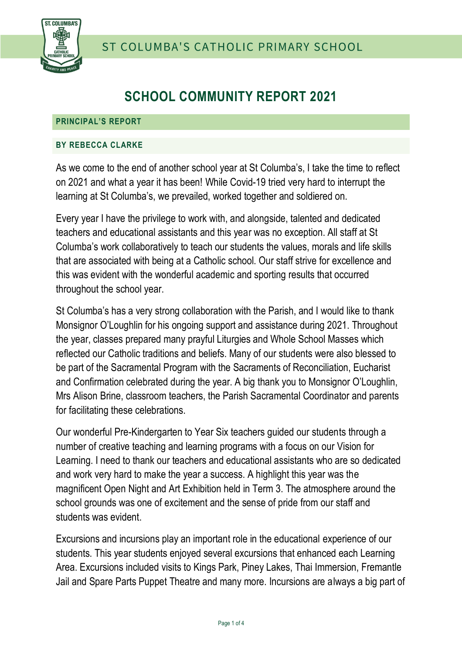



# **SCHOOL COMMUNITY REPORT 2021**

#### **PRINCIPAL'S REPORT**

### **BY REBECCA CLARKE**

As we come to the end of another school year at St Columba's, I take the time to reflect on 2021 and what a year it has been! While Covid-19 tried very hard to interrupt the learning at St Columba's, we prevailed, worked together and soldiered on.

Every year I have the privilege to work with, and alongside, talented and dedicated teachers and educational assistants and this year was no exception. All staff at St Columba's work collaboratively to teach our students the values, morals and life skills that are associated with being at a Catholic school. Our staff strive for excellence and this was evident with the wonderful academic and sporting results that occurred throughout the school year.

St Columba's has a very strong collaboration with the Parish, and I would like to thank Monsignor O'Loughlin for his ongoing support and assistance during 2021. Throughout the year, classes prepared many prayful Liturgies and Whole School Masses which reflected our Catholic traditions and beliefs. Many of our students were also blessed to be part of the Sacramental Program with the Sacraments of Reconciliation, Eucharist and Confirmation celebrated during the year. A big thank you to Monsignor O'Loughlin, Mrs Alison Brine, classroom teachers, the Parish Sacramental Coordinator and parents for facilitating these celebrations.

Our wonderful Pre-Kindergarten to Year Six teachers guided our students through a number of creative teaching and learning programs with a focus on our Vision for Learning. I need to thank our teachers and educational assistants who are so dedicated and work very hard to make the year a success. A highlight this year was the magnificent Open Night and Art Exhibition held in Term 3. The atmosphere around the school grounds was one of excitement and the sense of pride from our staff and students was evident.

Excursions and incursions play an important role in the educational experience of our students. This year students enjoyed several excursions that enhanced each Learning Area. Excursions included visits to Kings Park, Piney Lakes, Thai Immersion, Fremantle Jail and Spare Parts Puppet Theatre and many more. Incursions are always a big part of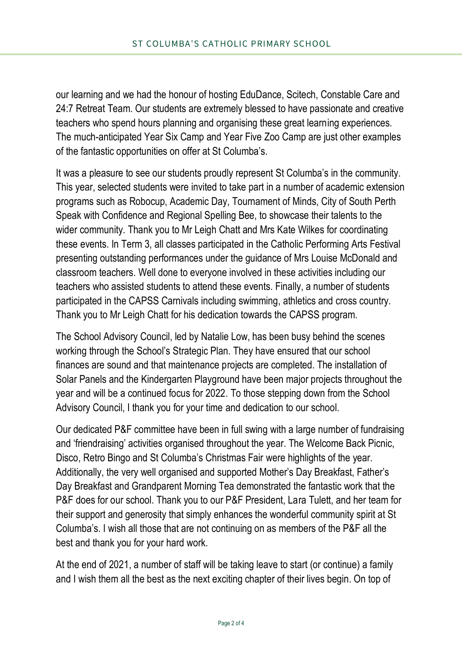our learning and we had the honour of hosting EduDance, Scitech, Constable Care and 24:7 Retreat Team. Our students are extremely blessed to have passionate and creative teachers who spend hours planning and organising these great learning experiences. The much-anticipated Year Six Camp and Year Five Zoo Camp are just other examples of the fantastic opportunities on offer at St Columba's.

It was a pleasure to see our students proudly represent St Columba's in the community. This year, selected students were invited to take part in a number of academic extension programs such as Robocup, Academic Day, Tournament of Minds, City of South Perth Speak with Confidence and Regional Spelling Bee, to showcase their talents to the wider community. Thank you to Mr Leigh Chatt and Mrs Kate Wilkes for coordinating these events. In Term 3, all classes participated in the Catholic Performing Arts Festival presenting outstanding performances under the guidance of Mrs Louise McDonald and classroom teachers. Well done to everyone involved in these activities including our teachers who assisted students to attend these events. Finally, a number of students participated in the CAPSS Carnivals including swimming, athletics and cross country. Thank you to Mr Leigh Chatt for his dedication towards the CAPSS program.

The School Advisory Council, led by Natalie Low, has been busy behind the scenes working through the School's Strategic Plan. They have ensured that our school finances are sound and that maintenance projects are completed. The installation of Solar Panels and the Kindergarten Playground have been major projects throughout the year and will be a continued focus for 2022. To those stepping down from the School Advisory Council, I thank you for your time and dedication to our school.

Our dedicated P&F committee have been in full swing with a large number of fundraising and 'friendraising' activities organised throughout the year. The Welcome Back Picnic, Disco, Retro Bingo and St Columba's Christmas Fair were highlights of the year. Additionally, the very well organised and supported Mother's Day Breakfast, Father's Day Breakfast and Grandparent Morning Tea demonstrated the fantastic work that the P&F does for our school. Thank you to our P&F President, Lara Tulett, and her team for their support and generosity that simply enhances the wonderful community spirit at St Columba's. I wish all those that are not continuing on as members of the P&F all the best and thank you for your hard work.

At the end of 2021, a number of staff will be taking leave to start (or continue) a family and I wish them all the best as the next exciting chapter of their lives begin. On top of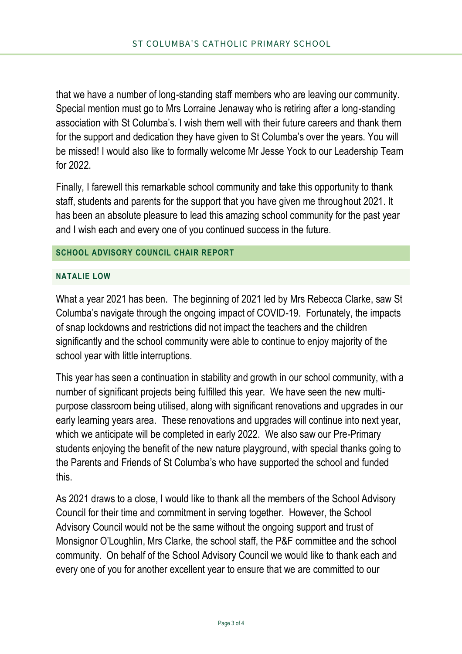that we have a number of long-standing staff members who are leaving our community. Special mention must go to Mrs Lorraine Jenaway who is retiring after a long-standing association with St Columba's. I wish them well with their future careers and thank them for the support and dedication they have given to St Columba's over the years. You will be missed! I would also like to formally welcome Mr Jesse Yock to our Leadership Team for 2022.

Finally, I farewell this remarkable school community and take this opportunity to thank staff, students and parents for the support that you have given me throughout 2021. It has been an absolute pleasure to lead this amazing school community for the past year and I wish each and every one of you continued success in the future.

## **SCHOOL ADVISORY COUNCIL CHAIR REPORT**

### **NATALIE LOW**

What a year 2021 has been. The beginning of 2021 led by Mrs Rebecca Clarke, saw St Columba's navigate through the ongoing impact of COVID-19. Fortunately, the impacts of snap lockdowns and restrictions did not impact the teachers and the children significantly and the school community were able to continue to enjoy majority of the school year with little interruptions.

This year has seen a continuation in stability and growth in our school community, with a number of significant projects being fulfilled this year. We have seen the new multipurpose classroom being utilised, along with significant renovations and upgrades in our early learning years area. These renovations and upgrades will continue into next year, which we anticipate will be completed in early 2022. We also saw our Pre-Primary students enjoying the benefit of the new nature playground, with special thanks going to the Parents and Friends of St Columba's who have supported the school and funded this.

As 2021 draws to a close, I would like to thank all the members of the School Advisory Council for their time and commitment in serving together. However, the School Advisory Council would not be the same without the ongoing support and trust of Monsignor O'Loughlin, Mrs Clarke, the school staff, the P&F committee and the school community. On behalf of the School Advisory Council we would like to thank each and every one of you for another excellent year to ensure that we are committed to our